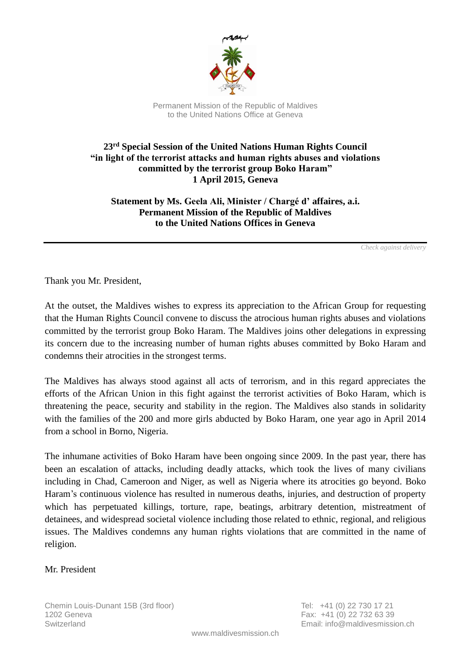

Permanent Mission of the Republic of Maldives to the United Nations Office at Geneva

## **23 rd Special Session of the United Nations Human Rights Council "in light of the terrorist attacks and human rights abuses and violations committed by the terrorist group Boko Haram" 1 April 2015, Geneva**

**Statement by Ms. Geela Ali, Minister / Chargé d' affaires, a.i. Permanent Mission of the Republic of Maldives to the United Nations Offices in Geneva**

*Check against delivery*

Thank you Mr. President,

At the outset, the Maldives wishes to express its appreciation to the African Group for requesting that the Human Rights Council convene to discuss the atrocious human rights abuses and violations committed by the terrorist group Boko Haram. The Maldives joins other delegations in expressing its concern due to the increasing number of human rights abuses committed by Boko Haram and condemns their atrocities in the strongest terms.

The Maldives has always stood against all acts of terrorism, and in this regard appreciates the efforts of the African Union in this fight against the terrorist activities of Boko Haram, which is threatening the peace, security and stability in the region. The Maldives also stands in solidarity with the families of the 200 and more girls abducted by Boko Haram, one year ago in April 2014 from a school in Borno, Nigeria.

The inhumane activities of Boko Haram have been ongoing since 2009. In the past year, there has been an escalation of attacks, including deadly attacks, which took the lives of many civilians including in Chad, Cameroon and Niger, as well as Nigeria where its atrocities go beyond. Boko Haram's continuous violence has resulted in numerous deaths, injuries, and destruction of property which has perpetuated killings, torture, rape, beatings, arbitrary detention, mistreatment of detainees, and widespread societal violence including those related to ethnic, regional, and religious issues. The Maldives condemns any human rights violations that are committed in the name of religion.

## Mr. President